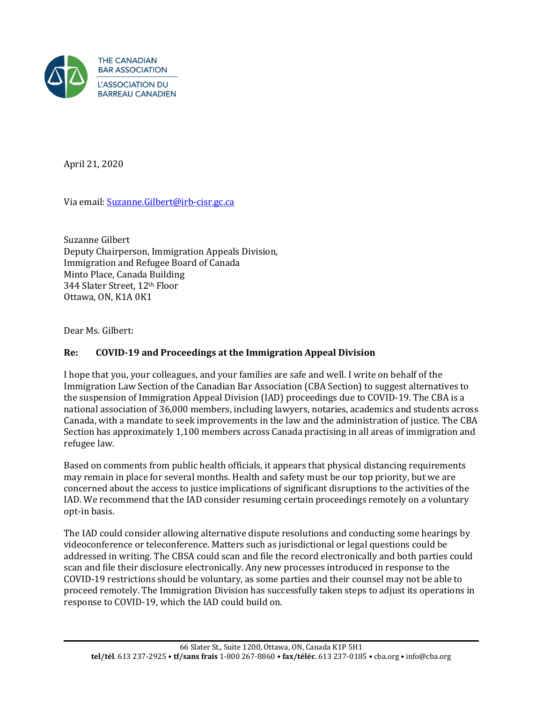

April 21, 2020

Via email: [Suzanne.Gilbert@irb-cisr.gc.ca](mailto:Suzanne.Gilbert@irb-cisr.gc.ca)

Suzanne Gilbert Deputy Chairperson, Immigration Appeals Division, Immigration and Refugee Board of Canada Minto Place, Canada Building 344 Slater Street, 12th Floor Ottawa, ON, K1A 0K1

Dear Ms. Gilbert:

## **Re: COVID-19 and Proceedings at the Immigration Appeal Division**

I hope that you, your colleagues, and your families are safe and well. I write on behalf of the Immigration Law Section of the Canadian Bar Association (CBA Section) to suggest alternatives to the suspension of Immigration Appeal Division (IAD) proceedings due to COVID-19. The CBA is a national association of 36,000 members, including lawyers, notaries, academics and students across Canada, with a mandate to seek improvements in the law and the administration of justice. The CBA Section has approximately 1,100 members across Canada practising in all areas of immigration and refugee law.

Based on comments from public health officials, it appears that physical distancing requirements may remain in place for several months. Health and safety must be our top priority, but we are concerned about the access to justice implications of significant disruptions to the activities of the IAD. We recommend that the IAD consider resuming certain proceedings remotely on a voluntary opt-in basis.

The IAD could consider allowing alternative dispute resolutions and conducting some hearings by videoconference or teleconference. Matters such as jurisdictional or legal questions could be addressed in writing. The CBSA could scan and file the record electronically and both parties could scan and file their disclosure electronically. Any new processes introduced in response to the COVID-19 restrictions should be voluntary, as some parties and their counsel may not be able to proceed remotely. The Immigration Division has successfully taken steps to adjust its operations in response to COVID-19, which the IAD could build on.